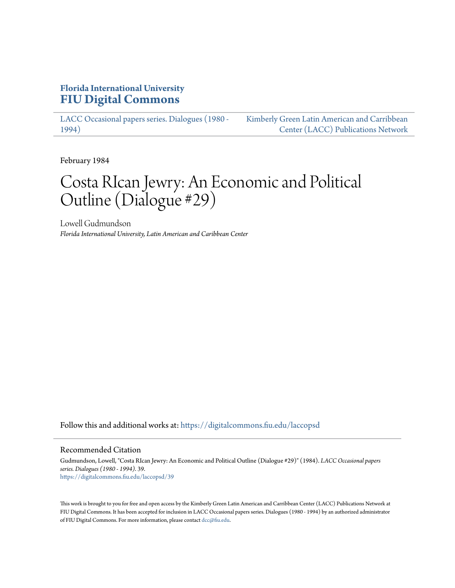## **Florida International University [FIU Digital Commons](https://digitalcommons.fiu.edu?utm_source=digitalcommons.fiu.edu%2Flaccopsd%2F39&utm_medium=PDF&utm_campaign=PDFCoverPages)**

[LACC Occasional papers series. Dialogues \(1980 -](https://digitalcommons.fiu.edu/laccopsd?utm_source=digitalcommons.fiu.edu%2Flaccopsd%2F39&utm_medium=PDF&utm_campaign=PDFCoverPages) [1994\)](https://digitalcommons.fiu.edu/laccopsd?utm_source=digitalcommons.fiu.edu%2Flaccopsd%2F39&utm_medium=PDF&utm_campaign=PDFCoverPages)

[Kimberly Green Latin American and Carribbean](https://digitalcommons.fiu.edu/laccp?utm_source=digitalcommons.fiu.edu%2Flaccopsd%2F39&utm_medium=PDF&utm_campaign=PDFCoverPages) [Center \(LACC\) Publications Network](https://digitalcommons.fiu.edu/laccp?utm_source=digitalcommons.fiu.edu%2Flaccopsd%2F39&utm_medium=PDF&utm_campaign=PDFCoverPages)

February 1984

# Costa RIcan Jewry: An Economic and Political Outline (Dialogue #29)

Lowell Gudmundson *Florida International University, Latin American and Caribbean Center*

Follow this and additional works at: [https://digitalcommons.fiu.edu/laccopsd](https://digitalcommons.fiu.edu/laccopsd?utm_source=digitalcommons.fiu.edu%2Flaccopsd%2F39&utm_medium=PDF&utm_campaign=PDFCoverPages)

#### Recommended Citation

Gudmundson, Lowell, "Costa RIcan Jewry: An Economic and Political Outline (Dialogue #29)" (1984). *LACC Occasional papers series. Dialogues (1980 - 1994)*. 39. [https://digitalcommons.fiu.edu/laccopsd/39](https://digitalcommons.fiu.edu/laccopsd/39?utm_source=digitalcommons.fiu.edu%2Flaccopsd%2F39&utm_medium=PDF&utm_campaign=PDFCoverPages)

This work is brought to you for free and open access by the Kimberly Green Latin American and Carribbean Center (LACC) Publications Network at FIU Digital Commons. It has been accepted for inclusion in LACC Occasional papers series. Dialogues (1980 - 1994) by an authorized administrator of FIU Digital Commons. For more information, please contact [dcc@fiu.edu](mailto:dcc@fiu.edu).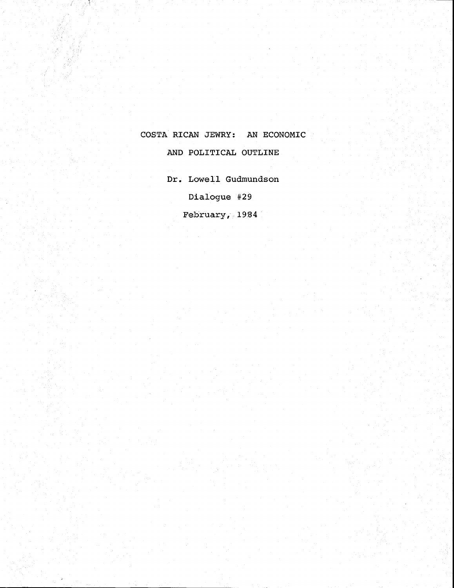## **COSTA RICAN JEWRY: AN ECONOMIC**

### **AND POLITICAL OUTLINE**

**Dr. Lowell Gudmundson** 

**Dialogue #29** 

**February, 1984**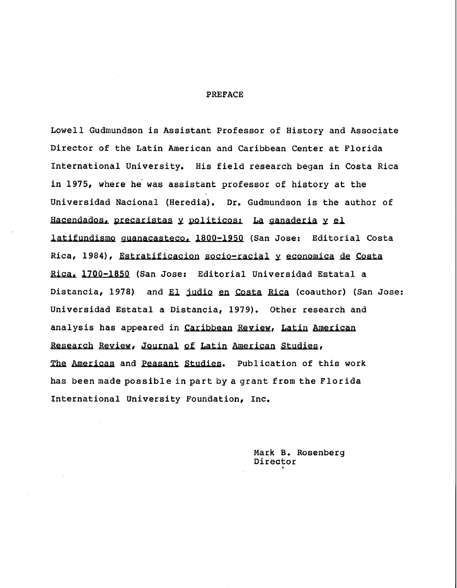#### PREFACE

Lowell Gudmundson is Assistant Professor of History and Associate Director of the Latin American and Caribbean Center at Florida International University. His field research began in Costa Rica in 1975, where he' was assistant professor of history at the Universidad Nacional (Heredia), **Dr.** Gudmundson is the author of Hacendados, precaristas y politicos: La ganaderia y el **1atifundismo** quanacasteco, 1800-1950 (San Jose: Editorial Costa Rica, 1984), Estratificacion socio-racial y economica de Costa Rica. 1700-1850 (San Jose: Editorial Universidad Estatal a Distancia, 1978) and El *judio* en Costa Rica (coauthor) (San Jose: Universidad Estatal a Distancia, 1979). Other research and analysis has appeared in Caribbean Review, Latin American Research Review, Journal of Latin American Studies, The Americas and Peasant Studies. Publication of this work has been made possible in part by a grant from the Florida International University Foundation, Inc.

> Nark B. Rosenberg Director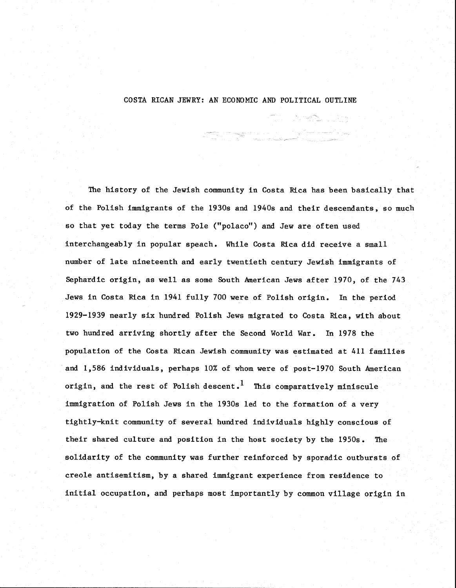#### COSTA RICAN JEWRY: AN ECONOMIC AND POLITICAL OUTLINE

The history of the Jewish community in Costa Rica has been basically that of the Polish immigrants of the 1930s and 1940s and their descendants, so much so that yet today the terms Pole ("polaco") and Jew are often used interchangeably in popular speach. While Costa Rica did receive a small number of late nineteenth and early twentieth century Jewish immigrants of Sephardic origin, as well as some South American Jews after 1970, of the 743 Jews in Costa Rica in 1941 fully 700 were of Polish origin. In the period 1929-1939 nearly six hundred Polish Jews migrated to Costa Rica, with about two hundred arriving shortly after the Second World War. In 1978 the population of the Costa Rican Jewish community was estimated at 411 families and 1,586 individuals, perhaps 10% of whom were of post-1970 South American origin, and the rest of Polish descent.<sup>1</sup> This comparatively miniscule immigration of Polish Jews in the 1930s led to the formation of a very tightly-knit community of several hundred individuals highly conscious of their shared culture and position in the host society by the 1950s. The solidarity of the community was further reinforced by sporadic outbursts of creole antisemitism, by a shared immigrant experience from residence to initial occupation, and perhaps most importantly by common village origin in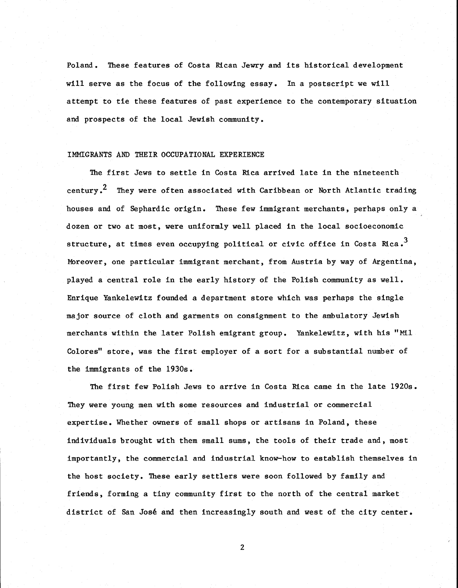Poland. These features of Costa Rican Jewry and its historical development will serve as the focus of the following essay. In a postscript we will attempt to tie these features of past experience to the contemporary situation and prospects of the local Jewish community.

#### IMMIGRANTS AND THEIR OCCUPATIONAL EXPERIENCE

The first Jews to settle in Costa Rlca arrived late in the nineteenth century.<sup>2</sup> They were often associated with Caribbean or North Atlantic trading houses and of Sephardic origin. These few immigrant merchants, perhaps only a dozen or two at most, were uniformly well placed in the local socioeconomic structure, at times even occupying political or civic office in Costa Rica. **<sup>3</sup>** Moreover, one particular immigrant merchant, from Austria by way of Argentina, played a central role in the early history of the Polish community as well. Enrique Yankelewitz founded a department store which was perhaps the single major source of cloth and garments on consignment to the ambulatory Jewish merchants within the later Polish emigrant group. Yankelewitz, with his "Mi1 Colores" store, was the first employer of a sort for a substantial number of the immigrants of the 1930s.

The first few Polish Jews to arrive in Costa Rica came in the late 1920s. They were young men with some resources and industrial or commercial expertise. Whether owners of small shops or artisans in Poland, these individuals brought with them small sums, the tools of their trade and, most importantly, the commercial and industrial know-how to establish themselves in the host society. These early settlers were soon followed by family and friends, forming a tiny community first to the north of the central market district of San José and then increasingly south and west of the city center.

 $\overline{2}$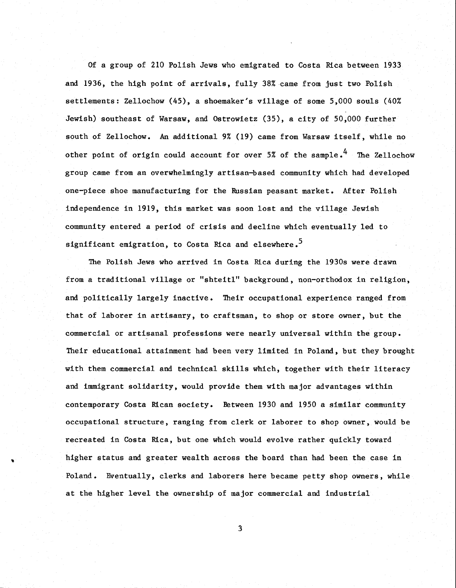Of a group of 210 Polish Jews who emigrated to Costa Rica between 1933 and 1936, the high point of arrivals, fully 38% came from just two Polish settlements: Zellochow (45), a shoemaker's village of some 5,000 souls (40% Jewish) southeast of Warsaw, and Ostrowietz (35), a city of 50,000 further south of Zellochow. An additional 9% (19) came from Warsaw itself, while no other point of origin could account for over 5% of the sample.<sup>4</sup> The Zellochow group came from an overwhelmingly artisan-based community which had developed one-piece shoe manufacturing for the Russian peasant market. After Polish independence in 1919, this market was soon lost and the village Jewish community entered a period of crisis and decline which eventually led to significant emigration, to Costa Rica and elsewhere.<sup>5</sup>

The Polish Jews who arrived in Costa Rica during the 1930s were drawn from a traditional village or "shteitl" background, non-orthodox in religion, and politically largely inactive. Their occupational experience ranged from that of laborer in artisanry, to craftsman, to shop or store owner, but the commercial or artisanal professions were nearly universal within the group. Their educational attainment had been very limited in Poland, but they brought with them commercial and technical skills which, together with their literacy and immigrant solidarity, would provide them with major advantages within contemporary Costa Rican society. Between 1930 and 1950 a similar community occupational structure, ranging from clerk or laborer to shop owner, would be recreated in Costa Rica, but one which would evolve rather quickly toward higher status and greater wealth across the board than had been the case in Poland. Eventually, clerks and laborers here became petty shop owners, while at the higher level the ownership of major commercial and industrial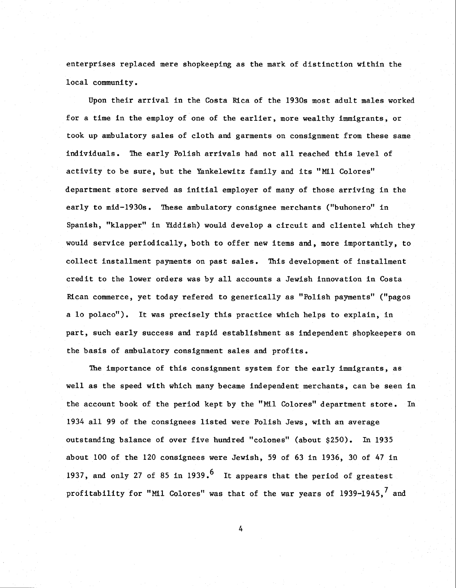enterprises replaced mere shopkeeping as the mark of distinction within the local community.

Upon their arrival in the Costa Rica of the 1930s most adult males worked for a time in the employ of one of the earlier, more wealthy immigrants, or took up ambulatory sales of cloth and garments on consignment from these same individuals. The early Polish arrivals had not all reached this level of activity to be sure, but the Yankelewitz family and its "Mil Colores" department store served as initial employer of many of those arriving in the early to mid-1930s. These ambulatory consignee merchants ("buhonero" in Spanish, "klapper" in Yiddish) would develop a circuit and clientel which they would service periodically, both to offer new items and, more importantly, to collect installment payments on past sales. This development of installment credit to the lower orders was by all accounts a Jewish innovation in Costa Rican commerce, yet today refered to generically as "Polish payments" ("pagos a lo polaco"). It was precisely this practice which helps to explain, in part, such early success and rapid establishment as independent shopkeepers on the basis of ambulatory consignment sales and profits.

The importance of this consignment system for the early immigrants, as well as the speed with which many became independent merchants, can be seen in the account book of the period kept by the "Mil Colores" department store. In 1934 all 99 of the consignees listed were Polish Jews, with an average outstanding balance of over five hundred "colones" (about \$250). In 1935 about 100 of the 120 consignees were Jewish, 59 of 63 in 1936, 30 of 47 in 1937, and only 27 of 85 in 1939.<sup>6</sup> It appears that the period of greatest profitability for "Mil Colores" was that of the war years of  $1939-1945$ , and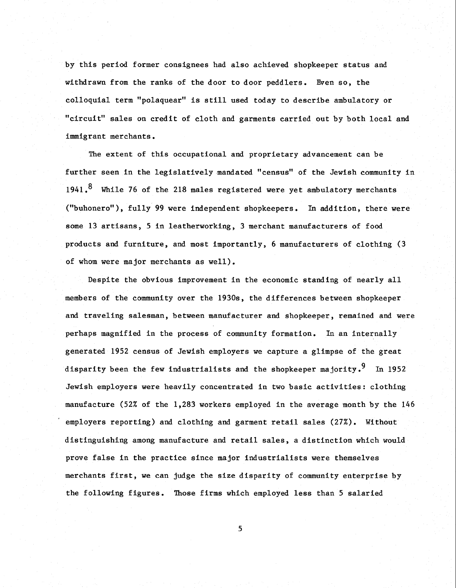by this period former consignees had also achieved shopkeeper status and withdrawn from the ranks of the door to door peddlers. Even so, the colloquial term "polaquear" is still used today to describe ambulatory or "circuit" sales on credit of cloth and garments carried out by both local and immigrant merchants.

The extent of this occupational and proprietary advancement can be further seen in the legislatively mandated "census" of the Jewish community in 1941.<sup>8</sup> While 76 of the 218 males registered were yet ambulatory merchants ("buhonero"), fully 99 were independent shopkeepers. In addition, there were some 13 artisans, 5 in leatherworking, **3** merchant manufacturers of food products and furniture, and most importantly, 6 manufacturers of clothing (3 of whom were major merchants as well).

Despite the obvious improvement in the economic standing of nearly all members of the community over the 1930s, the differences between shopkeeper and traveling salesman, between manufacturer and shopkeeper, remained and were perhaps magnified in the process of community formation. In an internally generated 1952 census of Jewish employers we capture a glimpse of the great disparity been the few industrialists and the shopkeeper majority.<sup>9</sup> In 1952 Jewish employers were heavily concentrated in two basic activities: clothing manufacture (52% of the 1,283 workers employed in the average month by the 146 employers reporting) and clothing and garment retail sales (27%). Without distinguishing among manufacture and retail sales, a distinction which would prove false in the practice since major industrialists were themselves merchants first, we can judge the size disparity of community enterprise by the following figures. Those firms which employed less than 5 salaried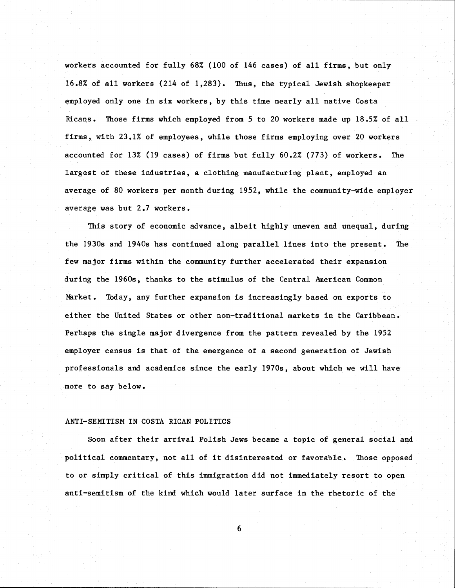workers accounted for fully 68% (100 of 146 cases) of all firms, but only 16.8% of all workers (214 of 1,283). Thus, the typical Jewish shopkeeper employed only one in six workers, by this time nearly all native Costa Ricans. Those firms which employed from 5 to 20 workers made up 18.5% of all firms, with 23.1% of employees, while those firms employing over 20 workers accounted for 13% (19 cases) of firms but fully 60.2% (773) of workers. The largest of these industries, a clothing manufacturing plant, employed an average of 80 workers per month during 1952, while the community-wide employer average was but 2.7 workers.

This story of economic advance, albeit highly uneven and unequal, during the 1930s and 1940s has continued along parallel lines into the present. 'Ihe few major firms within the community further accelerated their expansion during the 1960s, thanks to the stimulus of the Central American Common Market. Today, any further expansion is increasingly based on exports to either the United States or other non-traditional markets in the Caribbean. Perhaps the single major divergence from the pattern revealed by the 1952 employer census is that of the emergence of a second generation of Jewish professionals and academics since the early 19708, about which we will have more to say below.

#### ANTI-SEMITISM IN COSTA RICAN POLITICS

Soon after their arrival Polish Jews became a topic of general social and political commentary, not all of it disinterested or favorable. Those opposed to or simply critical of this immigration did not immediately resort to open anti-semitism of the kind which would later surface in the rhetoric of the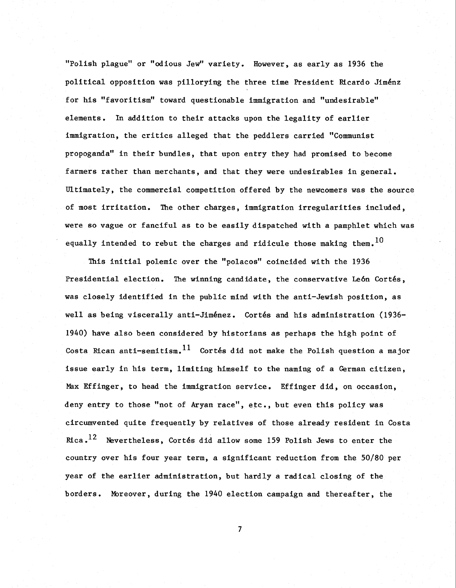"Polish plague" or "odious Jew" variety. However, as early as 1936 the political opposition was pillorying the three time President Ricardo Jiménz for his "favoritism" toward questionable immigration and "undesirable" elements. In addition to their attacks upon the legality of earlier immigration, the critics alleged that the peddlers carried "Communist propoganda" in their bundles, that upon entry they had promised to become farmers rather than merchants, and that they were undesirables in general. Ultimately, the commercial competition offered by the newcomers was the source of most irritation. The other charges, immigration irregularities included, were so vague or fanciful as to be easily dispatched with a pamphlet which was equally intended to rebut the charges and ridicule those making them.  $^{10}$ 

This initial polemic over the "polacos" coincided with the 1936 Presidential election. The winning candidate, the conservative León Cortés, was closely identified in the public mind with the anti-Jewish position, as well as being viscerally anti-Jiménez. Cortés and his administration (1936-1940) have also been considered by historians as perhaps the high point of Costa Rican anti-semitism.  $^{11}$  Cortés did not make the Polish question a major issue early in his term, limiting himself to the naming of a German citizen, Max Effinger, to head the immigration service. Effinger did, on occasion, deny entry to those "not of Aryan race", etc., but even this policy was circumvented quite frequently by relatives of those already resident in Costa Rica.<sup>12</sup> Nevertheless, Cortés did allow some 159 Polish Jews to enter the country over his four year term, a significant reduction from the 50/80 per year of the earlier administration, but hardly a radical closing of the borders. Moreover, during the 1940 election campaign and thereafter, the

 $\overline{7}$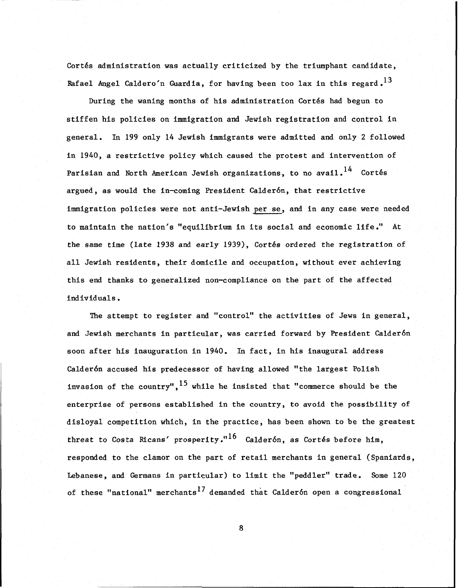Cortés administration was actually criticized by the triumphant candidate, Rafael Angel Caldero'n Guardia, for having been too lax in this regard.<sup>13</sup>

During the waning months of his administration Cortés had begun to stiffen his policies on immigration and Jewish registration and control in general. In 199 only 14 Jewish immigrants were admitted and only **2** followed in 1940, a restrictive policy which caused the protest and intervention of Parisian and North American Jewish organizations, to no avail.<sup>14</sup> Cortés argued, as would the in-coming President Calder6n, that restrictive immigration policies were not anti-Jewish per se, and in any case were needed to maintain the nation's "equilibrium in its social and economic life." At the same time (late 1938 and early 1939), Cortés ordered the registration of all Jewish residents, their domicile and occupation, without ever achieving this end thanks to generalized non-compliance on the part of the affected individuals .

The attempt to register and "control" the activities of Jews in general, and Jewish merchants in particular, was carried forward by President Calder6n soon after his inauguration in 1940. In fact, in his inaugural address Calder6n accused his predecessor of having allowed "the largest Polish invasion of the country",  $^{15}$  while he insisted that "commerce should be the enterprise of persons established in the country, to avoid the possibility of disloyal competition which, in the practice, has been shown to be the greatest threat to Costa Ricans' prosperity."<sup>16</sup> Calderón, as Cortés before him, responded to the clamor on the part of retail merchants in general (Spaniards, <sup>I</sup>Lebanese, and Germans in particular) to limit the "peddler" trade. Some 120 of these "national" merchants<sup>17</sup> demanded that Calderón open a congressional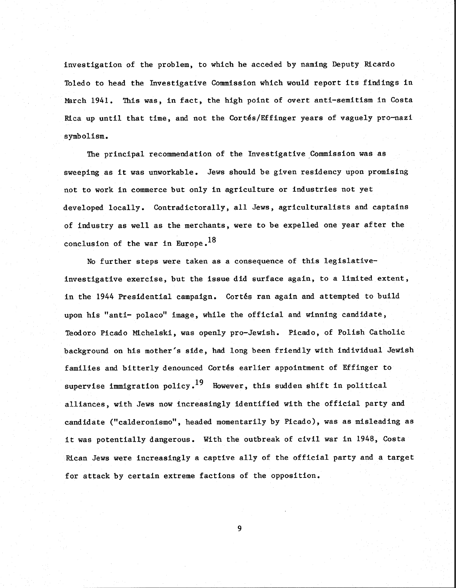investigation of the problem, to which he acceded by naming Deputy Ricardo Toledo to head the Investigative Commission which would report its findings in March 1941. This was, in fact, the high point of overt anti-semitism in Costa Rica up until that time, and not the Cortds/Effinger years of vaguely pro-nazi symbolism.

The principal recommendation of the Investigative Commission was as sweeping as it was unworkable. Jews should be given residency upon promising not to work in commerce but only in agriculture or industries not yet developed locally. Contradictorally, all Jews, agriculturalists and captains of industry as well as the merchants, were to be expelled one year after the conclusion of the war in Europe.  $^{18}$ 

No further steps were taken as a consequence of this legislativeinvestigative exercise, but the issue did surface again, to a limited extent, in the 1944 Presidential campaign. Cortés ran again and attempted to build upon his "anti- polaco" image, while the official and winning candidate, Teodoro Picado Michelski, was openly pro-Jewish. Picado, of Polish Catholic background on his mother's side, had long been friendly with individual Jewish families and bitterly denounced Cortés earlier appointment of Effinger to supervise immigration policy.<sup>19</sup> However, this sudden shift in political alliances, with Jews now increasingly identified with the official party and candidate ("calderonismo", headed momentarily by Picado), was as misleading as it was potentially dangerous. With the outbreak of civil war in 1948, Costa Rican Jews were increasingly a captive ally of the official party and a target for attack by certain extreme factions of the opposition.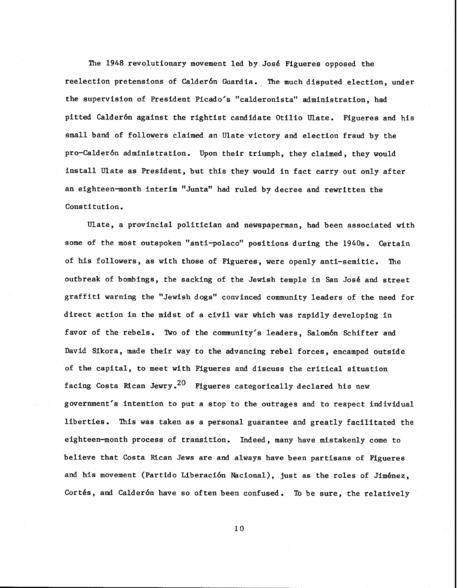The 1948 revolutionary movement led by Josd Figueres opposed the reelection pretensions of Calderón Guardia. The much disputed election, under the supervision of President Picado's "calderonista" administration, had pitted Calderón against the rightist candidate Otilio Ulate. Figueres and his small band of followers claimed an Ulate victory and election fraud by the pro-Calder6n administration. Upon their triumph, they claimed, they would install Ulate as President, but this they would in fact carry out only after an eighteen-month interim "Junta" had ruled by decree and rewritten the Constitution.

Ulate, a provincial politician and newspaperman, had been associated with some of the most outspoken "anti-polaco" positions during the 1940s. Certain of his followers, as with those of Figueres, were openly anti-semitic. Ihe outbreak of bombings, the sacking of the Jewish temple in San Jose and street graffiti warning the "Jewish dogs" convinced community leaders of the need for direct action in the midst of a civil war which was rapidly developing in favor of the rebels. Two of the community's leaders, Salomón Schifter and David Sikora, made their way to the advancing rebel forces, encamped outside of the capital, to meet with Figueres and discuss the critical situation facing Costa Rican Jewry.<sup>20</sup> Figueres categorically declared his new government's intention to put a stop to the outrages and to respect individual liberties. Ihis was taken as a personal guarantee and greatly facilitated the eighteen-month process of transition. Indeed, many have mistakenly come to believe that Costa Rican Jews are and always have been partisans of Figueres and his movement (Partido Liberación Nacional), just as the roles of Jiménez, Cortés, and Calderón have so often been confused. To be sure, the relatively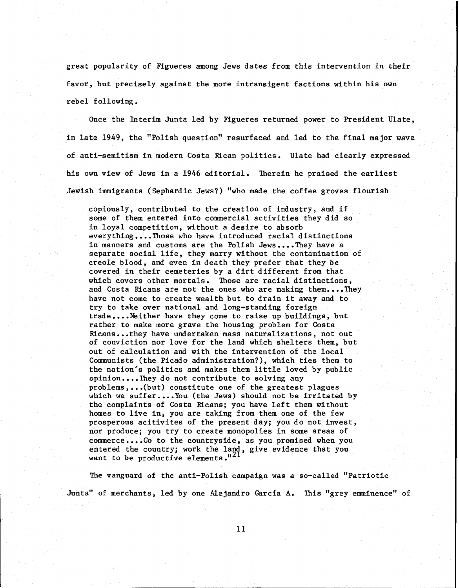great popularity of Figueres among Jews dates from this intervention in their favor, but precisely against the more intransigent factions within his own rebel following .

Once the Interim Junta led by Figueres returned power to President Ulate, in late 1949, the "Polish question" resurfaced and led to the final major wave of anti-semitism in modern Costa Rican politics. Ulate had clearly expressed his own view of Jews in a 1946 editorial. Therein he praised the earliest Jewish immigrants (Sephardic Jews?) "who made the coffee groves flourish

copiously, contributed to the creation of industry, and if some of them entered into commercial activities they did so in loyal competition, without a desire to absorb everything. . . .Those who have introduced racial distinctions in manners and customs are the Polish Jews....They have a separate social life, they marry without the contamination of creole blood, and even in death they prefer that they be covered in their cemeteries by a dirt different from that which covers other mortals. Those are racial distinctions, and Costa Ricans are not the ones who are making them....They have not come to create wealth but to drain it away and to try to take over national and long-standing foreign trade.... Neither have they come to raise up buildings, but rather to make more grave the housing problem for Costa Ricans...they have undertaken mass naturalizations, not out of conviction nor love for the land which shelters them, but out of calculation and with the intervention of the local Communists (the Picado administration?), which ties them to the nation's politics and makes them little loved by public opinion.. ..They do not contribute to solving any problems,...(but) constitute one of the greatest plagues which we suffer....You (the Jews) should not be irritated by the complaints of Costa Ricans; you have left them without homes to live in, you are taking from them one of the few prosperous acitivites of the present day; you do not invest, nor produce; you try to create monopolies in some areas of commerce....Go to the countryside, as you promised when you commerce....Go to the countryside, as you promised when you<br>entered the country; work the land, give evidence that you entered the country; work the rand<br>want to be productive elements."<sup>21</sup>

The vanguard of the anti-Polish campaign was a so-called "Patriotic Junta" of merchants, led by one Alejandro Garcia **A.** 'Ihis "grey eminence" of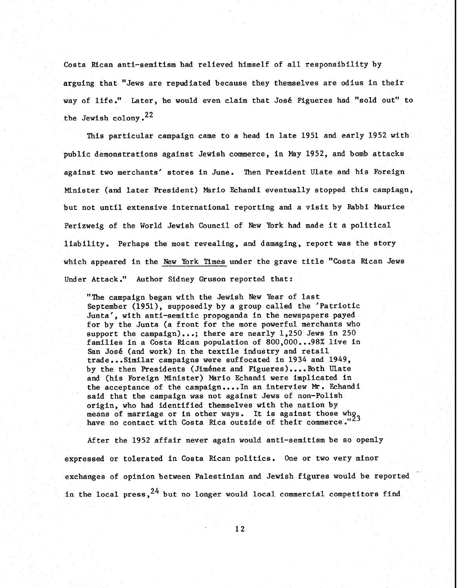Costa Rican anti-semitism had relieved himself of all responsibility by arguing that "Jews are repudiated because they themselves are odius in their way of life." Later, he would even claim that Jose Figueres had "sold out" to the Jewish colony. 22

This particular campaign came to a head in late 1951 and early 1952 with public demonstrations against Jewish commerce, in May 1952, and bomb attacks against two merchants' stores in June. Then President Ulate and his Foreign Minister (and later President) Brio Echandi eventually stopped this campiagn, but not until extensive international reporting and a visit by Rabbi Maurice Perizweig of the World Jewish Council of New York had made it a political liability. Perhaps the most revealing, and damaging, report was the story which appeared in the New York Times under the grave title "Costa Rican Jews Under Attack ." Author Sidney Gruson reported that :

"me campaign began with the Jewish New Year of last September (1951), supposedly by a group called the 'Patriotic Junta', with anti-semitic propoganda in the newspapers payed for by the Junta (a front for the more powerful merchants who support the campaign)...; there are nearly 1,250 Jews in 250 families in a Costa Rican population of 800,000...98% live in San Jose (and work) in the textile industry and retail trade.. .Similar campaigns were suffocated in 1934 and 1949, by the then Presidents (Jiménez and Figueres)....Both Ulate and (his Foreign Minister) Mario Echandi were implicated in the acceptance of the campaign....In an interview **Mr.** Echandi said that the campaign was not against Jews of non-Polish origin, who had identified themselves with the nation by origin, who has identified themserves with the hatten by means of marriage or in other ways. It is against those why have no contact with Costa Rica outside of their commerce.<sup>"23</sup>

After the 1952 affair never again would anti-semitism be so openly expressed or tolerated in Costa Rican politics. One or two very minor exchanges of opinion between Palestinian and Jewish figures would be reported in the local press,  $24$  but no longer would local commercial competitors find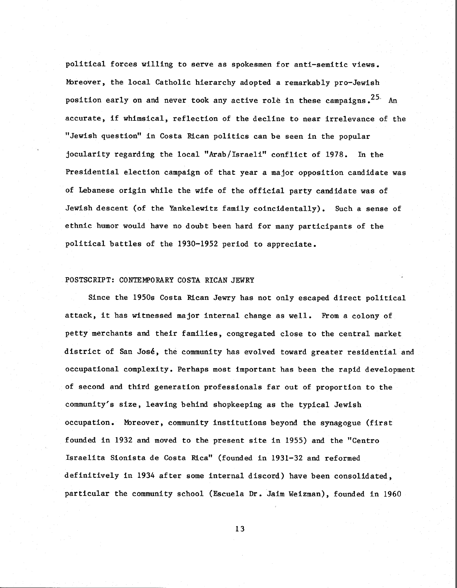political forces willing to serve as spokesmen for anti-semitic views. breover, the local Catholic hierarchy adopted a remarkably pro-Jewish position early on and never took any active role in these campaigns.25 **An**  accurate, if whimsical, reflection of the decline to near irrelevance of the "Jewish question" in Costa Rican politics can be seen in the popular jocularity regarding the local "Arab/Israeli" conflict of 1978. In the Presidential election campaign of that year a major opposition candidate was of Lebanese origin while the wife of the official party candidate was of Jewish descent (of the Yankelewitz family coincidentally). Such a sense of ethnic humor would have no doubt been hard for many participants of the political battles of the 1930-1952 period to appreciate.

#### POSTSCRIPT: CONTEMPORARY COSTA RICAN JEWRY

Since the 1950s Costa Rican Jewry has not only escaped direct political attack, it has witnessed major internal change as well. From a colony of petty merchants and their families, congregated close to the central market district of San Josd, the community has evolved toward greater residential and occupational complexity. Perhaps most important has been the rapid development of second and third generation professionals far out of proportion to the community's size, leaving behind shopkeeping as the typical Jewish occupation. Moreover, community institutions beyond the synagogue (first founded in 1932 and moved to the present site in 1955) and the "Centro Israelita Sionista de Costa Rica" (founded in 1931-32 and reformed definitively in 1934 af ter some internal discord) have been consolidated, particular the community school (Escuela Dr. Jaim Weizman), founded in 1960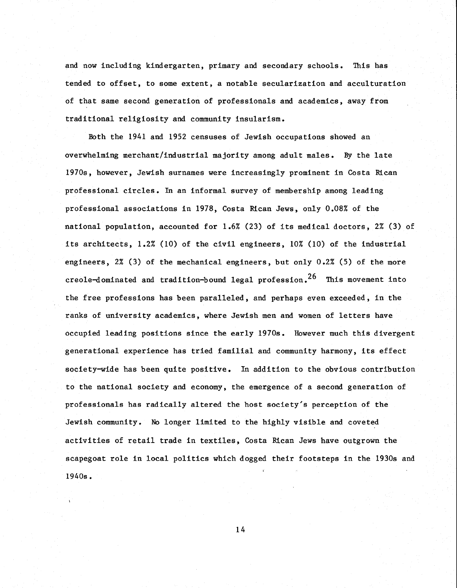and now including kindergarten, primary and secondary schools. This has tended to offset, to some extent, a notable secularization and acculturation of that same second generation of professionals and academics, away from traditional religiosity and community insularism.

Both the 1941 and 1952 censuses of Jewish occupations showed an overwhelming merchant/industrial majority among adult males. By the late 1970s, however, Jewish surnames were increasingly prominent in Costa Rican professional circles. In an informal survey of membership among leading professional associations in 1978, Costa Rican Jews, only 0.08% of the national population, accounted for 1.6% (23) of its medical doctors, 2% (3) of its architects, 1.2% (10) of the civil engineers, 10% (10) of the industrial engineers, 2% (3) of the mechanical engineers, but only 0.2% (5) of the more creole-dominated and tradition-bound legal profession.<sup>26</sup> This movement into the free professions has been paralleled, and perhaps even exceeded, in the ranks of university academics, where Jewish men and women of letters have occupied leading positions since the early 1970s. However much this divergent generational experience has tried familial and community harmony, its effect society-wide has been quite positive. In addition to the obvious contribution to the national society and economy, the emergence of a second generation of professionals has radically altered the host society's perception of the Jewish community. No longer limited to the highly visible and coveted activities of retail trade in textiles, Costa Rican Jews have outgrown the scapegoat role in local politics which dogged their footsteps in the 1930s and 1940s.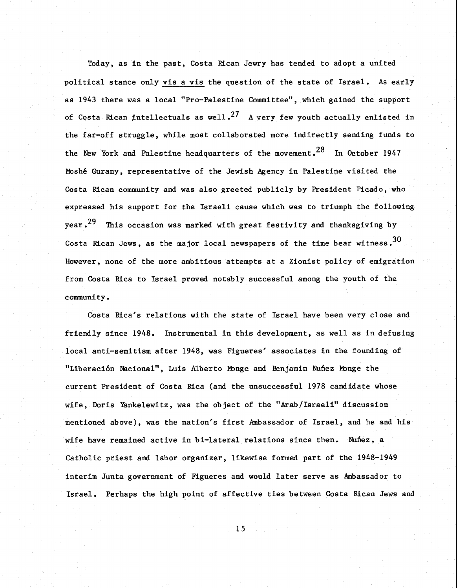Today, as in the past, Costa Rican Jewry has tended to adopt a united political stance only vis a vis the question of the state of Israel. As early as 1943 there was a local "Pro-Palestine Committee", which gained the support of Costa Rican intellectuals as well.<sup>27</sup> A very few youth actually enlisted in the far-off struggle, while most collaborated more indirectly sending funds to the New York and Palestine headquarters of the movement.<sup>28</sup> In October 1947 Moshé Gurany, representative of the Jewish Agency in Palestine visited the Costa Rican community and was also greeted publicly by President Picado, who expressed his support for the Israeli cause which was to triumph the following year.<sup>29</sup> This occasion was marked with great festivity and thanksgiving by Costa Rican Jews, as the major local newspapers of the time bear witness.  $30$ However, none of the more ambitious attempts at a Zionist policy of emigration from Costa Rica to Israel proved notably successful among the youth of the community .

Costa Rica's relations with the state of Israel have been very close and friendly since 1948. Instrumental in this development, as well as in defusing local anti-semitism after 1948, was Figueres' associates in the founding of "Liberaci6n Nacional", Luis Alberto Monge and Benjamin Nufiez Monge the current President of Costa Rica (and the unsuccessful 1978 candidate whose wife , Doris Yankelewitz , was the object of the "Arab/Israeli" discussion mentioned above), was the nation's first Ambassador of Israel, and he and his wife have remained active in bi-lateral relations since then. Nufiez, a Catholic priest and labor organizer, likewise formed part of the 1948-1949 interim Junta government of Figueres and would later serve as Ambassador to Israel. Perhaps the high point of affective ties between Costa Rican Jews and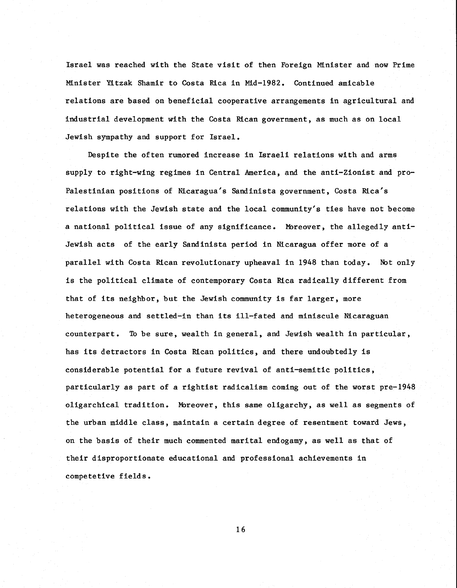Israel was reached with the State visit of then Foreign Minister and now Prime Minister Yitzak Shamir to Costa Rica in Mid-1982. Continued amicable relations are based on beneficial cooperative arrangements in agricultural and industrial development with the Costa Rican government, as much as on local Jewish sympathy and support for Israel.

Despite the often rumored increase in Israeli relations with and arms supply to right-wing regimes in Central America, and the anti-Zionist and pro-Palestinian positions of Nicaragua's Sandinista government, Costa Rica's relations with the Jewish state and the local community's ties have not become a national political issue of any significance. Moreover, the allegedly anti-Jewish acts of the early Sandinista period in Nicaragua offer more of a parallel with Costa Rican revolutionary upheaval in 1948 than today. Not only is the political climate of contemporary Costa Rica radically different from that of its neighbor, but the Jewish community is far larger, more heterogeneous and settled-in than its ill-fated and miniscule Nicaraguan counterpart. To be sure, wealth in general, and Jewish wealth in particular, has its detractors in Costa Rican politics, and there undoubtedly is considerable potential for a future revival of anti-semitic politics, particularly as part of a rightist radicalism coming out of the worst pre-1948 oligarchical tradition. Moreover, this same oligarchy, as well as segments of the urban middle class, maintain a certain degree of resentment toward Jews, on the basis of their much commented marital endogamy, as well as that of their disproportionate educational and professional achievements in competetive fields .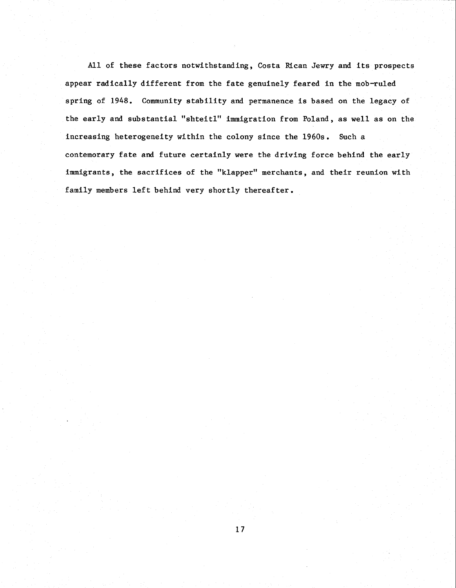All of these factors notwithstanding, Costa Rican Jewry and its prospects appear radically different from the fate genuinely feared in the mob-ruled spring of 1948. Community stability and permanence is based on the legacy of the early and substantial "shteitl" immigration from Poland, as well as on the increasing heterogeneity within the colony since the 1960s. Such a contemorary fate and future certainly were the driving force behind the early immigrants, the sacrifices of the "klapper" merchants, and their reunion with family members left behind very shortly thereafter.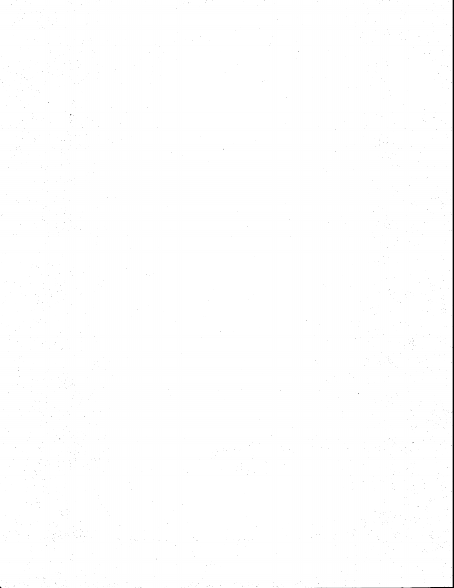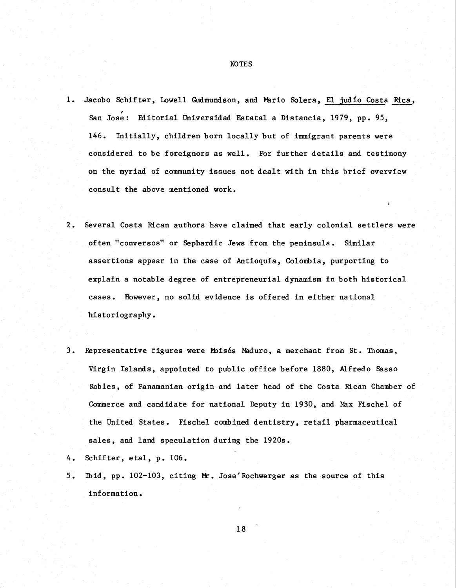#### **NOTES**

- 1. Jacobo Schif ter, Lowell Gudmundson, and Mario Solera, El judfo Costa Rica, **I**  San Jose: Editorial Universidad Estatal a Distancia, 1979, pp. 95, 146. Initially, children born locally but of immigrant parents were considered to be foreignors as well. For further details and testimony on the myriad of community issues not dealt with in this brief overview consult the above mentioned work.
- 2. Several Costa Rican authors have claimed that early colonial settlers were often "conversos" or Sephardic Jews from the peninsula. Similar assertions appear in the case of Antioquia, Colombia, purporting to explain a notable degree of entrepreneurial dynamism in both historical cases. However, no solid evidence is offered in either national historiography.

**I** 

- 3. Representative figures were Moisés Maduro, a merchant from St. Thomas, Virgin Islands, appointed to public office before 1880, Alfredo Sasso Robles, of Panamanian origin and later head of the Costa Rican Chamber of Commerce and candidate for national Deputy in 1930, and **Max** Fischel of the United States. Fischel combined dentistry, retail pharmaceutical sales, and land speculation during the 1920s.
- 4. Schifter, etal, p. 106.
- 5. Ibid, pp. 102-103, citing Mr. Jose'Rochwerger as the source of this information.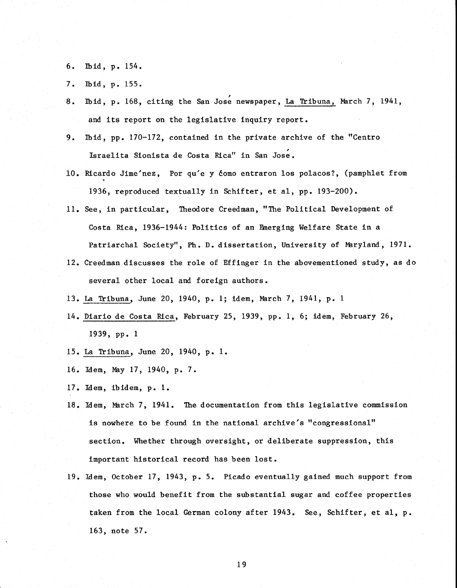- 6. Ibid, p. 154.
- 7. Ibid, p. 155.
- 8. Ibid, p. 168, citing the San Jose newspaper, La Tribuna, March 7, 1941, and its report on the legislative inquiry report.
- 9. Ibid, pp. 170-172, contained in the private archive of the "Centro **Israelita Sionista de Costa Rica" in San José.**
- 10. Ricardo Jime'nez, Por qu'e y bomo entraron 10s polacos?, (pamphlet from **<sup>a</sup>** 1936, reproduced textually in Schifter, et al, pp. 193-200).
- 11. See, in particular, 'Iheodore Creedman, "The Political Development of Costa Rica, 1936-1944: Politics of an Emerging Welfare State in a Patriarchal Society", Ph. D. dissertation, University of Maryland, 1971.
- 12. Creedman discusses the role of Effinger in the abovementioned study, as do several other local and foreign authors.
- 13. La Tribuna, June 20, 1940, p. 1; idem, March 7, 1941, p. 1
- 14. Diario de Costa Rica, February 25, 1939, pp. 1, 6; idem, February 26, 1939, pp. 1
- 15. La Tribuna, June 20, 1940, p. 1.
- 16. Idem, by 17, 1940, p. 7.
- 17. Idem, ibidem, p. 1.
- 18. Idem, mrch 7, 1941. The documentation from this legislative commission is nowhere to be found in the national archive's "congressional" section. Whether through oversight, or deliberate suppression, this important historical record has been lost.
- 19. Idem, October 17, 1943, p. 5. Picado eventually gained much support from those who would benefit from the substantial sugar and coffee properties taken from the local German colony after 1943. See, Schifter, et al, p. 163, note 57.